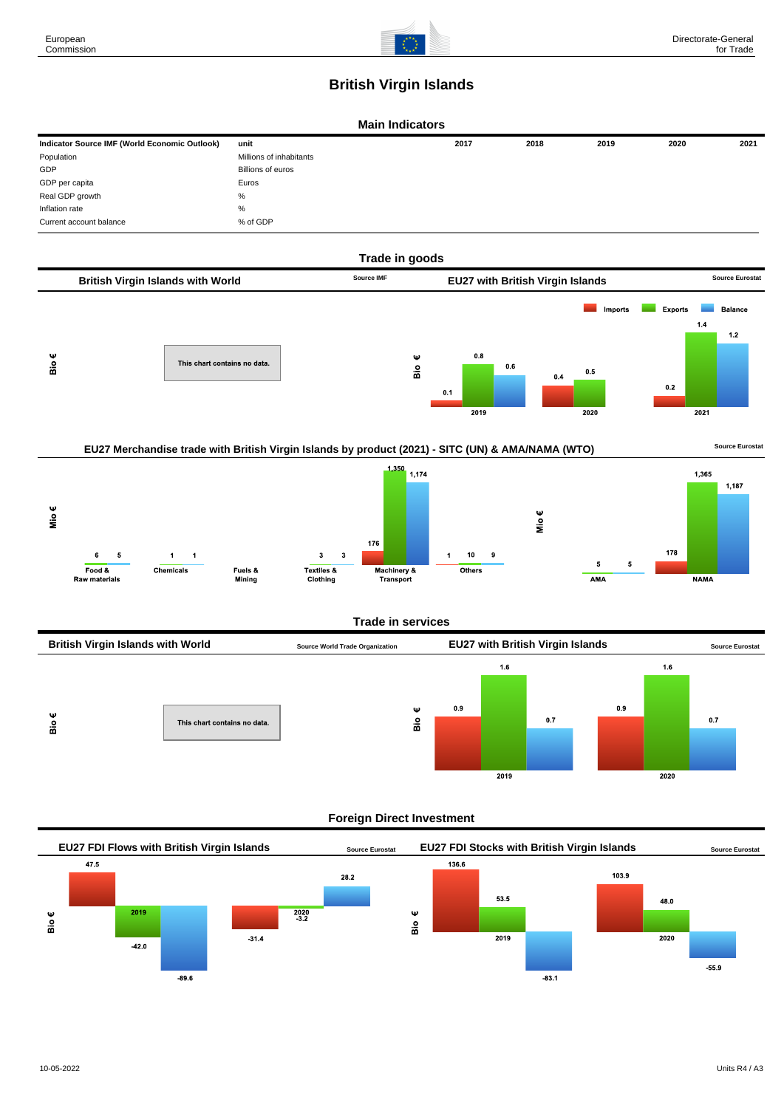

## **British Virgin Islands**